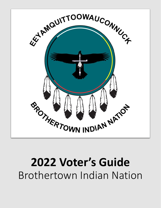

# **2022 Voter's Guide** Brothertown Indian Nation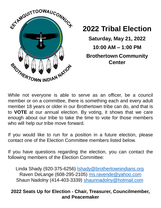

### **2022 Tribal Election**

**Saturday, May 21, 2022 10:00 AM – 1:00 PM Brothertown Community Center**

While not everyone is able to serve as an officer, be a council member or on a committee, there is something each and every adult member 18 years or older in our Brothertown tribe can do, and that is to **VOTE** at our annual election. By voting, it shows that we care enough about our tribe to take the time to vote for those members who will help our tribe move forward.

If you would like to run for a position in a future election, please contact one of the Election Committee members listed below.

If you have questions regarding the election, you can contact the following members of the Election Committee:

Linda Shady (920-375-6256) **Ishady@brothertownindians.org** Raven DeLange (608-295-2105) [ms.ravende@yahoo.com](mailto:ms.ravende@yahoo.com) Shaun Nadolny (414-403-3339) [shaunnadolny@hotmail.com](mailto:shaunnadolny@hotmail.com)

#### **2022 Seats Up for Election - Chair, Treasurer, Councilmember, and Peacemaker**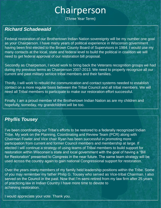# Chairperson

(Three Year Term)

#### *Richard Schadewald*

Federal restoration of our Brothertown Indian Nation sovereignty will be my number one goal as your Chairperson. I have many years of political experience in Wisconsin government having been first elected to the Brown County Board of Supervisors in 1984. I would use my many contacts at the local, state and federal level to build the political in coalition we will need to get federal approval of our restoration bill proposal.

Secondly as Chairperson, I would work to bring back the Veterans recognition groups we had during my previous terms as Chairperson 2007-2013. We need to properly recognize all our current and past military service tribal members and their families.

Thirdly, I will work to rebuild the communication and contact systems needed to establish contact on a more regular basis between the Tribal Council and all tribal members. We will need all Tribal members to participate to make our restoration effort successful.

Finally, I am a proud member of the Brothertown Indian Nation as are my children and hopefully, someday, my grandchildren will be too.

#### *Phyllis Tousey*

I've been coordinating our Tribe's efforts to be restored to a federally recognized Indian Tribe. My work on the Planning, Coordinating and Review Team (PCR) along with Chairman Fowler and Vice chair Ryan has been successful in promoting more participation from current and former Council members and membership at large. If elected I will continue a strategy of using teams of Tribal members to build support for restoration within Wisconsin's state and local government with the goal of having a "Bill for Restoration" presented to Congress in the near future. The same team strategy will be used across the country again to gain national Congressional support for restoration.

Over the years many members of my family held leadership positions within the Tribe. Some of you may remember my father Philip G. Tousey who served as Vice-tribal Chairman. I also served on the Council in the past. Now that I'm semi-retired from my law firm after 25 years of practicing law in Indian Country I have more time to devote to achieving restoration.

I would appreciate your vote. Thank you.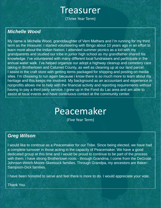### **Treasurer**

(Three Year Term)

#### *Michelle Wood*

My name is Michelle Wood, granddaughter of Vern Mathers and I'm running for my third term as the treasurer. I started volunteering with Bingo about 10 years ago in an effort to learn more about the Indian Nation. I attended summer picnics as a kid with my grandparents and studied our tribe in junior high school as my grandfather shared his knowledge. I've volunteered with many different local fundraisers and participate in the annual water walk. I've helped organize our adopt a highway cleanup and cemetery care taking in Brothertown and Calumet County, as well as cleaning up at our land parcel. I assist in the craft store with getting items packaged for shipping and posting on media sites. I'm choosing to run again because i know there is so much more to learn about my heritage and this keeps me involved. My background as an accountant and experience in nonprofits allows me to help with the financial activity and reporting requirements without having to pay a third party service. I grew up in the Fond du Lac area and am able to assist at local events and have continuous contact at the community center.

## Peacemaker

(Five Year Term)

#### *Greg Wilson*

I would like to continue as a Peacemaker for our Tribe. Since being elected, we have had a complete turnover in those acting in the capacity of Peacemaker. We have a good dedicated group at this time and I would be proud to continue to be part of the process with them. I have strong Brothertown roots - through Grandma, I come from the DeGroat-Johnson-Welch-Moore-Skeesuck families. Through Grandpa, my ancestors are Baker-Sampson-Dick families.

I have been honored to serve and feel there is more to do. I would appreciate your vote.

Thank You.